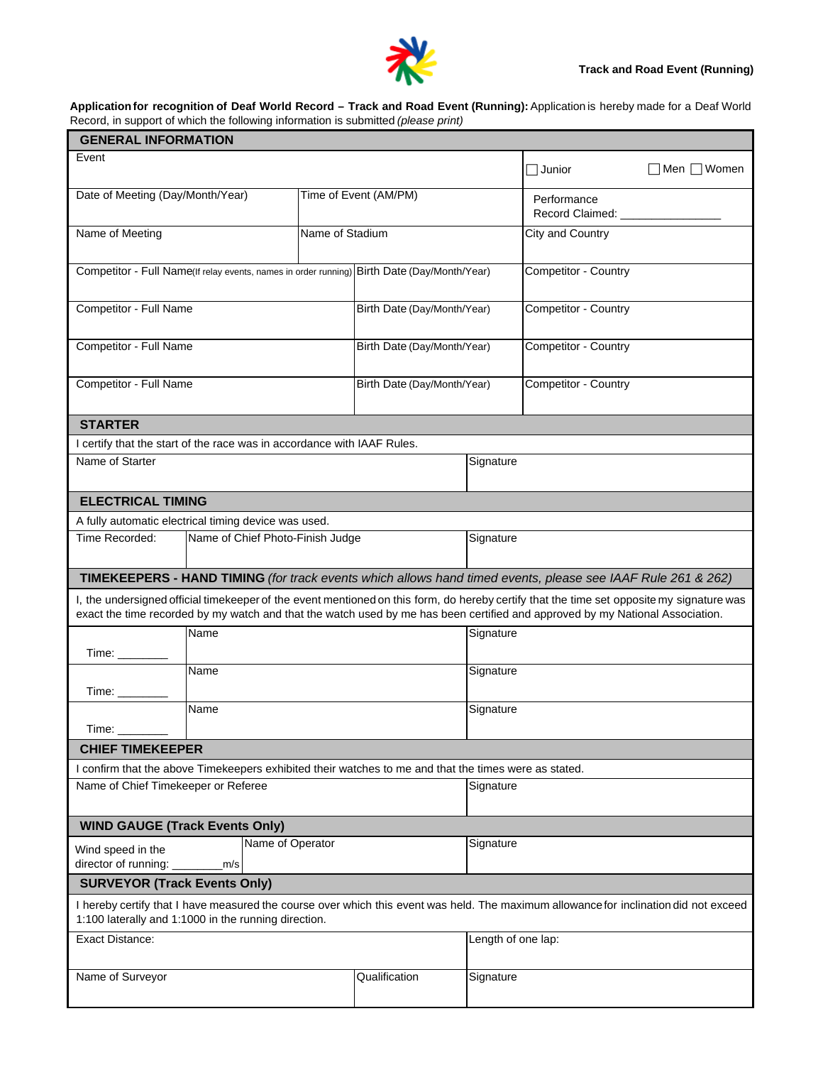

## **Application for recognition of Deaf World Record – Track and Road Event (Running):** Application is hereby made for a Deaf World Record, in support of which the following information is submitted *(please print)*

| <b>GENERAL INFORMATION</b>                                                                                                                                                                    |                                                                                                       |           |                             |                             |                                                                                                                                                                                                                                                                            |              |  |  |
|-----------------------------------------------------------------------------------------------------------------------------------------------------------------------------------------------|-------------------------------------------------------------------------------------------------------|-----------|-----------------------------|-----------------------------|----------------------------------------------------------------------------------------------------------------------------------------------------------------------------------------------------------------------------------------------------------------------------|--------------|--|--|
| Event                                                                                                                                                                                         |                                                                                                       |           |                             |                             | $\Box$ Junior                                                                                                                                                                                                                                                              | ∃Men ∏ Women |  |  |
| Date of Meeting (Day/Month/Year)                                                                                                                                                              |                                                                                                       |           | Time of Event (AM/PM)       |                             | Performance<br>Record Claimed: ___________                                                                                                                                                                                                                                 |              |  |  |
| Name of Meeting<br>Name of Stadium                                                                                                                                                            |                                                                                                       |           |                             | City and Country            |                                                                                                                                                                                                                                                                            |              |  |  |
| Competitor - Full Name(If relay events, names in order running) Birth Date (Day/Month/Year)                                                                                                   |                                                                                                       |           |                             |                             | Competitor - Country                                                                                                                                                                                                                                                       |              |  |  |
| Competitor - Full Name                                                                                                                                                                        |                                                                                                       |           | Birth Date (Day/Month/Year) |                             | Competitor - Country                                                                                                                                                                                                                                                       |              |  |  |
| Competitor - Full Name                                                                                                                                                                        |                                                                                                       |           | Birth Date (Day/Month/Year) |                             | Competitor - Country                                                                                                                                                                                                                                                       |              |  |  |
|                                                                                                                                                                                               | Competitor - Full Name                                                                                |           |                             | Birth Date (Day/Month/Year) |                                                                                                                                                                                                                                                                            |              |  |  |
| <b>STARTER</b>                                                                                                                                                                                |                                                                                                       |           |                             |                             |                                                                                                                                                                                                                                                                            |              |  |  |
|                                                                                                                                                                                               | I certify that the start of the race was in accordance with IAAF Rules.                               |           |                             |                             |                                                                                                                                                                                                                                                                            |              |  |  |
| Name of Starter                                                                                                                                                                               |                                                                                                       |           |                             | Signature                   |                                                                                                                                                                                                                                                                            |              |  |  |
| <b>ELECTRICAL TIMING</b>                                                                                                                                                                      |                                                                                                       |           |                             |                             |                                                                                                                                                                                                                                                                            |              |  |  |
|                                                                                                                                                                                               | A fully automatic electrical timing device was used.                                                  |           |                             |                             |                                                                                                                                                                                                                                                                            |              |  |  |
| Time Recorded:                                                                                                                                                                                | Name of Chief Photo-Finish Judge                                                                      |           |                             | Signature                   |                                                                                                                                                                                                                                                                            |              |  |  |
|                                                                                                                                                                                               |                                                                                                       |           |                             |                             | TIMEKEEPERS - HAND TIMING (for track events which allows hand timed events, please see IAAF Rule 261 & 262)                                                                                                                                                                |              |  |  |
|                                                                                                                                                                                               |                                                                                                       |           |                             |                             | I, the undersigned official timekeeper of the event mentioned on this form, do hereby certify that the time set opposite my signature was<br>exact the time recorded by my watch and that the watch used by me has been certified and approved by my National Association. |              |  |  |
|                                                                                                                                                                                               | Name                                                                                                  |           | Signature                   |                             |                                                                                                                                                                                                                                                                            |              |  |  |
| Time:                                                                                                                                                                                         | <b>Name</b>                                                                                           | Signature |                             |                             |                                                                                                                                                                                                                                                                            |              |  |  |
| Time:                                                                                                                                                                                         | Name                                                                                                  |           |                             | Signature                   |                                                                                                                                                                                                                                                                            |              |  |  |
| <b>CHIEF TIMEKEEPER</b>                                                                                                                                                                       |                                                                                                       |           |                             |                             |                                                                                                                                                                                                                                                                            |              |  |  |
|                                                                                                                                                                                               | I confirm that the above Timekeepers exhibited their watches to me and that the times were as stated. |           |                             |                             |                                                                                                                                                                                                                                                                            |              |  |  |
| Name of Chief Timekeeper or Referee                                                                                                                                                           |                                                                                                       |           |                             | Signature                   |                                                                                                                                                                                                                                                                            |              |  |  |
|                                                                                                                                                                                               | <b>WIND GAUGE (Track Events Only)</b>                                                                 |           |                             |                             |                                                                                                                                                                                                                                                                            |              |  |  |
| Name of Operator<br>Wind speed in the<br>director of running: _<br>m/s                                                                                                                        |                                                                                                       |           |                             | Signature                   |                                                                                                                                                                                                                                                                            |              |  |  |
| <b>SURVEYOR (Track Events Only)</b>                                                                                                                                                           |                                                                                                       |           |                             |                             |                                                                                                                                                                                                                                                                            |              |  |  |
| I hereby certify that I have measured the course over which this event was held. The maximum allowance for inclination did not exceed<br>1:100 laterally and 1:1000 in the running direction. |                                                                                                       |           |                             |                             |                                                                                                                                                                                                                                                                            |              |  |  |
| <b>Exact Distance:</b>                                                                                                                                                                        |                                                                                                       |           |                             | Length of one lap:          |                                                                                                                                                                                                                                                                            |              |  |  |
| Name of Surveyor                                                                                                                                                                              |                                                                                                       |           | Qualification               | Signature                   |                                                                                                                                                                                                                                                                            |              |  |  |
|                                                                                                                                                                                               |                                                                                                       |           |                             |                             |                                                                                                                                                                                                                                                                            |              |  |  |